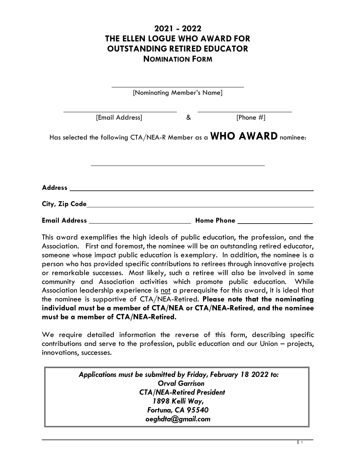## **2021 - 2022 THE ELLEN LOGUE WHO AWARD FOR OUTSTANDING RETIRED EDUCATOR NOMINATION FORM**

|                |                                                | [Nominating Member's Name] |                                                                     |
|----------------|------------------------------------------------|----------------------------|---------------------------------------------------------------------|
|                | [Email Address]                                | &                          | [Phone $#$ ]                                                        |
|                |                                                |                            | Has selected the following CTA/NEA-R Member as a WHO AWARD nominee: |
|                |                                                |                            |                                                                     |
|                |                                                |                            |                                                                     |
|                |                                                |                            |                                                                     |
| City, Zip Code |                                                |                            |                                                                     |
|                | Email Address ________________________________ |                            | <b>Home Phone</b>                                                   |

This award exemplifies the high ideals of public education, the profession, and the Association. First and foremost, the nominee will be an outstanding retired educator, someone whose impact public education is exemplary. In addition, the nominee is a person who has provided specific contributions to retirees through innovative projects or remarkable successes. Most likely, such a retiree will also be involved in some community and Association activities which promote public education. While Association leadership experience is not a prerequisite for this award, it is ideal that the nominee is supportive of CTA/NEA-Retired. **Please note that the nominating individual must be a member of CTA/NEA or CTA/NEA-Retired, and the nominee must be a member of CTA/NEA-Retired.**

We require detailed information the reverse of this form, describing specific contributions and serve to the profession, public education and our Union – projects, innovations, successes.

> *Applications must be submitted by Friday, February 18 2022 to: Orval Garrison CTA/NEA-Retired President 1898 Kelli Way, Fortuna, CA 95540 oeghdta@gmail.com*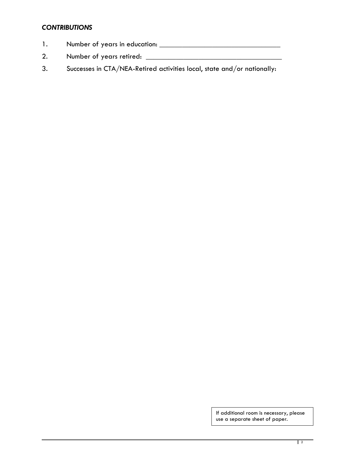## *CONTRIBUTIONS*

- 1. Number of years in education: \_\_\_\_\_\_\_\_\_\_\_\_\_\_\_\_\_\_\_\_\_\_\_\_\_\_\_\_\_\_\_\_
- 2. Number of years retired: \_\_\_\_\_\_\_\_\_\_\_\_\_\_\_\_\_\_\_\_\_\_\_\_\_\_\_\_\_\_\_\_\_\_\_\_
- 3. Successes in CTA/NEA-Retired activities local, state and/or nationally:

If additional room is necessary, please use a separate sheet of paper.